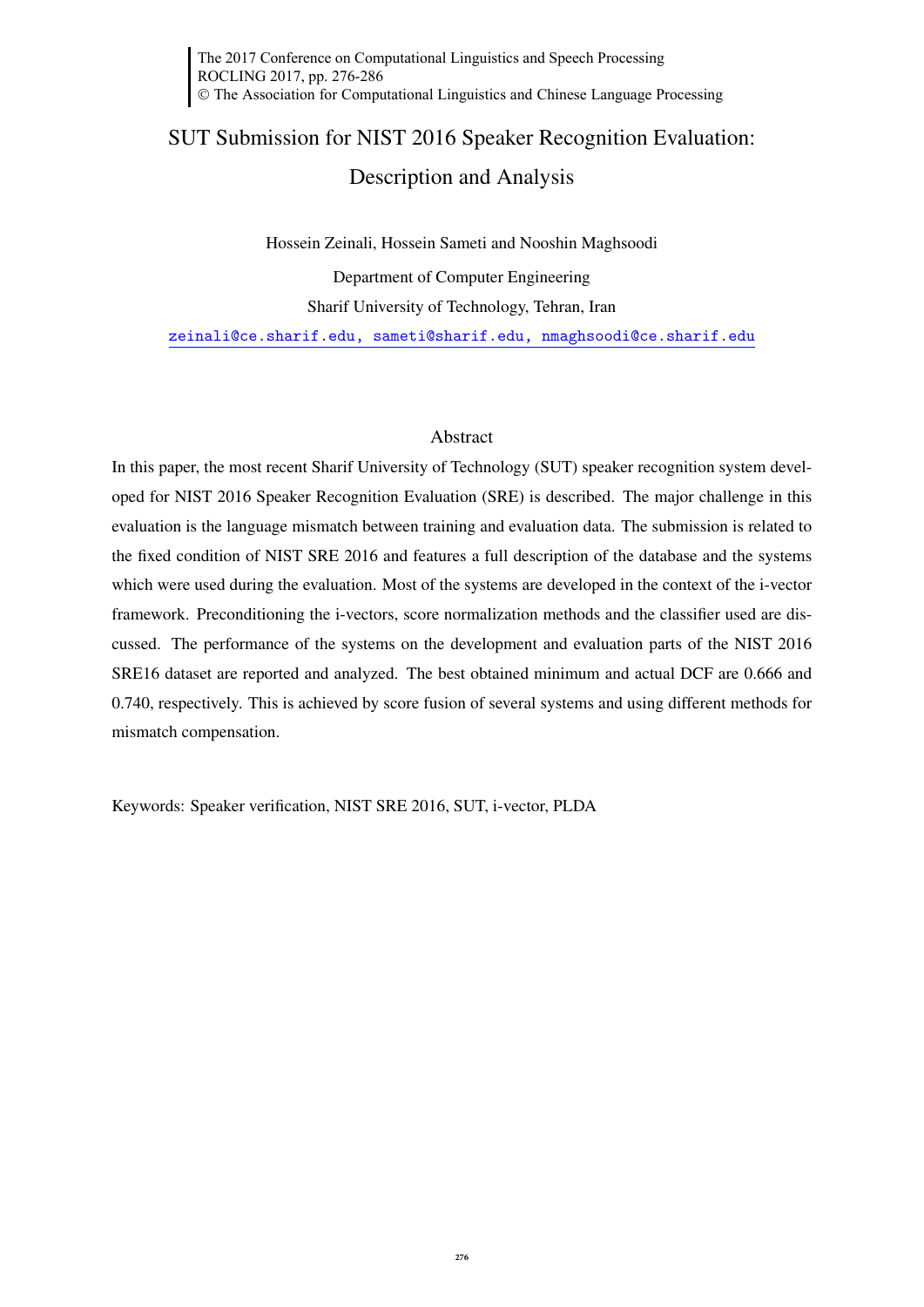# SUT Submission for NIST 2016 Speaker Recognition Evaluation: Description and Analysis

Hossein Zeinali, Hossein Sameti and Nooshin Maghsoodi Department of Computer Engineering Sharif University of Technology, Tehran, Iran zeinali@ce.sharif.edu, sameti@sharif.edu, nmaghsoodi@ce.sharif.edu

## Abstract

In this paper, the most recent Sharif University of Technology (SUT) speaker recognition system developed for NIST 2016 Speaker Recognition Evaluation (SRE) is described. The major challenge in this evaluation is the language mismatch between training and evaluation data. The submission is related to the fixed condition of NIST SRE 2016 and features a full description of the database and the systems which were used during the evaluation. Most of the systems are developed in the context of the i-vector framework. Preconditioning the i-vectors, score normalization methods and the classifier used are discussed. The performance of the systems on the development and evaluation parts of the NIST 2016 SRE16 dataset are reported and analyzed. The best obtained minimum and actual DCF are 0.666 and 0.740, respectively. This is achieved by score fusion of several systems and using different methods for mismatch compensation.

Keywords: Speaker verification, NIST SRE 2016, SUT, i-vector, PLDA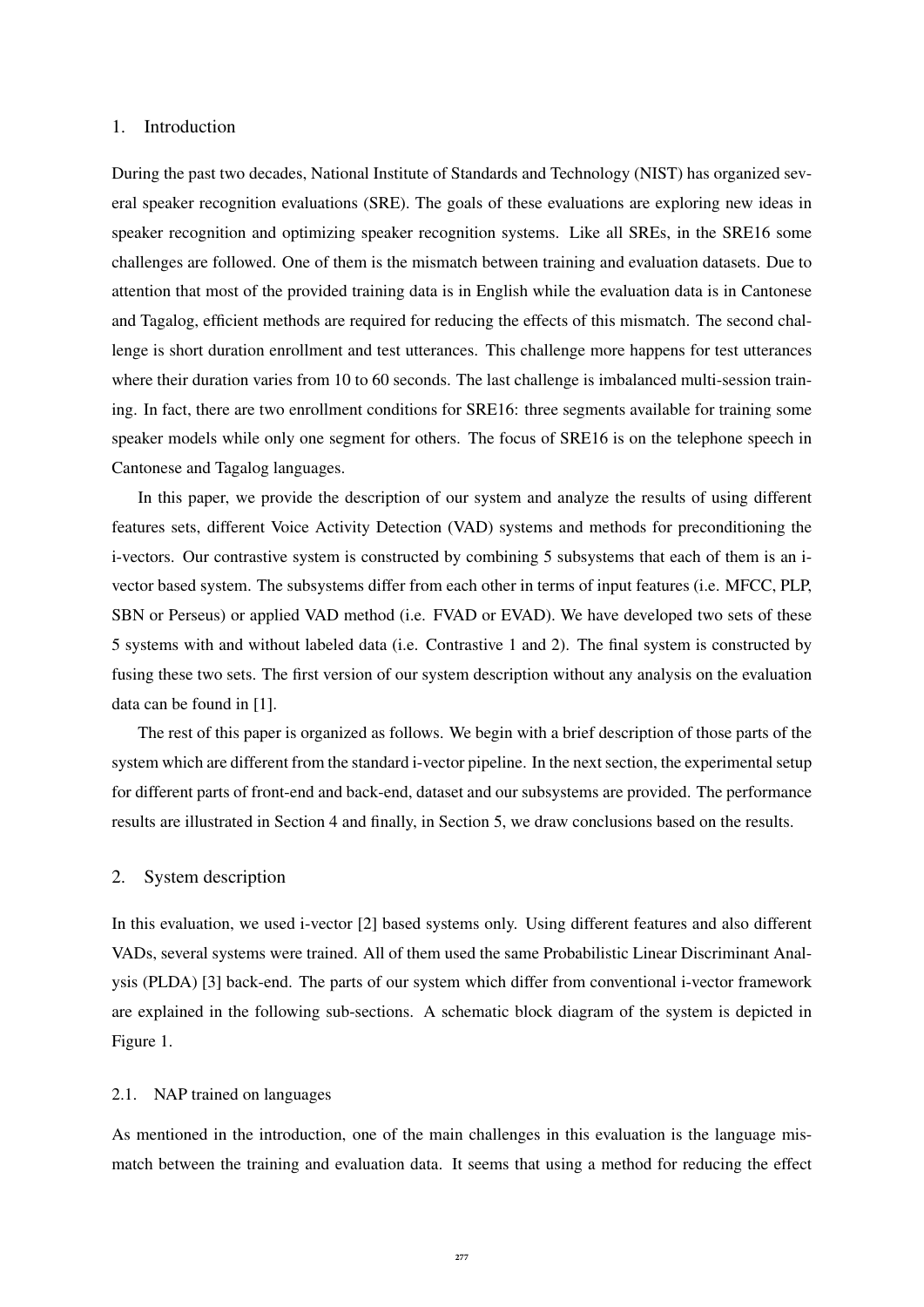## 1. Introduction

During the past two decades, National Institute of Standards and Technology (NIST) has organized several speaker recognition evaluations (SRE). The goals of these evaluations are exploring new ideas in speaker recognition and optimizing speaker recognition systems. Like all SREs, in the SRE16 some challenges are followed. One of them is the mismatch between training and evaluation datasets. Due to attention that most of the provided training data is in English while the evaluation data is in Cantonese and Tagalog, efficient methods are required for reducing the effects of this mismatch. The second challenge is short duration enrollment and test utterances. This challenge more happens for test utterances where their duration varies from 10 to 60 seconds. The last challenge is imbalanced multi-session training. In fact, there are two enrollment conditions for SRE16: three segments available for training some speaker models while only one segment for others. The focus of SRE16 is on the telephone speech in Cantonese and Tagalog languages.

In this paper, we provide the description of our system and analyze the results of using different features sets, different Voice Activity Detection (VAD) systems and methods for preconditioning the i-vectors. Our contrastive system is constructed by combining 5 subsystems that each of them is an ivector based system. The subsystems differ from each other in terms of input features (i.e. MFCC, PLP, SBN or Perseus) or applied VAD method (i.e. FVAD or EVAD). We have developed two sets of these 5 systems with and without labeled data (i.e. Contrastive 1 and 2). The final system is constructed by fusing these two sets. The first version of our system description without any analysis on the evaluation data can be found in [1].

The rest of this paper is organized as follows. We begin with a brief description of those parts of the system which are different from the standard i-vector pipeline. In the next section, the experimental setup for different parts of front-end and back-end, dataset and our subsystems are provided. The performance results are illustrated in Section 4 and finally, in Section 5, we draw conclusions based on the results.

## 2. System description

In this evaluation, we used i-vector [2] based systems only. Using different features and also different VADs, several systems were trained. All of them used the same Probabilistic Linear Discriminant Analysis (PLDA) [3] back-end. The parts of our system which differ from conventional i-vector framework are explained in the following sub-sections. A schematic block diagram of the system is depicted in Figure 1.

## 2.1. NAP trained on languages

As mentioned in the introduction, one of the main challenges in this evaluation is the language mismatch between the training and evaluation data. It seems that using a method for reducing the effect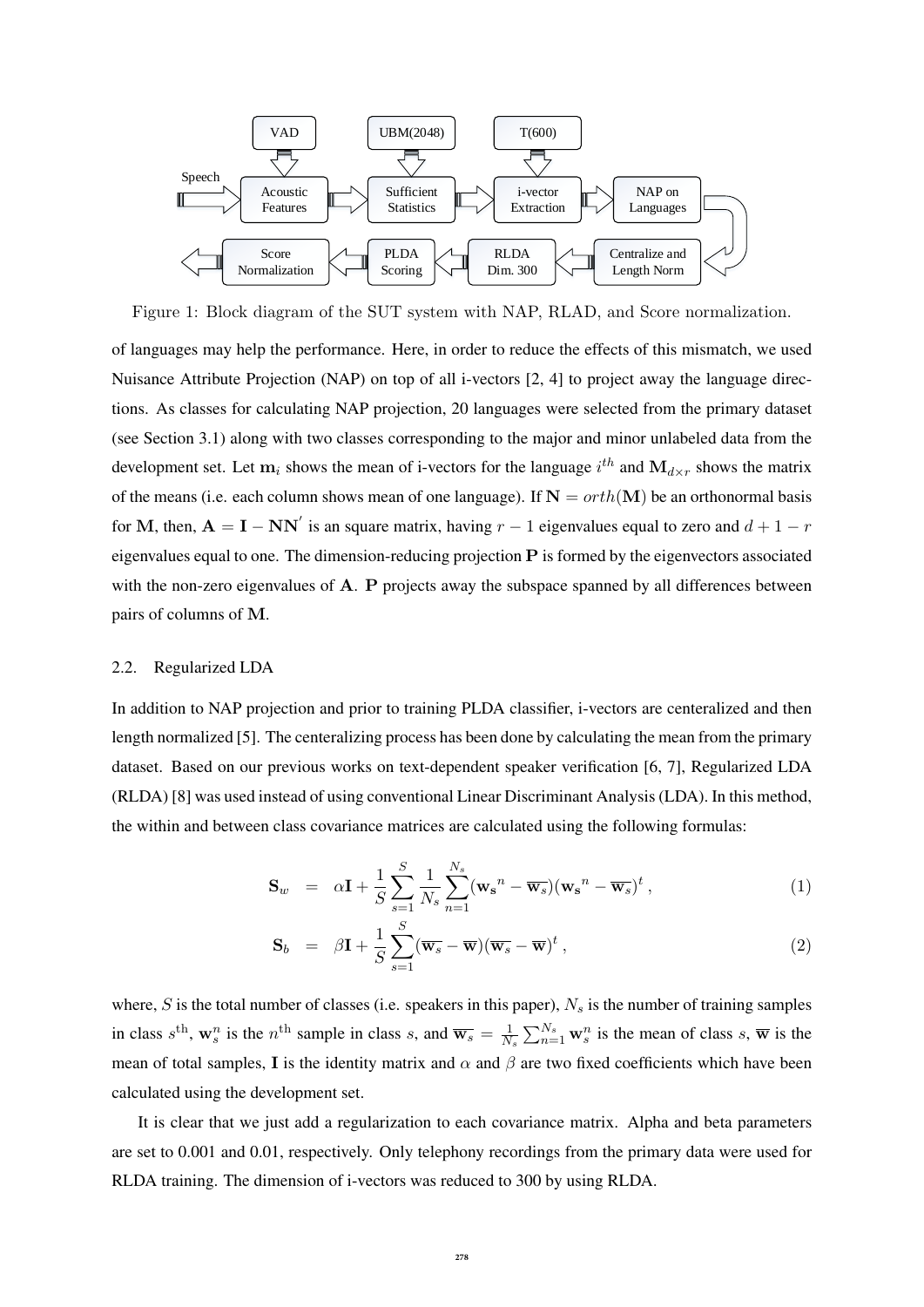

Figure 1: Block diagram of the SUT system with NAP, RLAD, and Score normalization.

of languages may help the performance. Here, in order to reduce the effects of this mismatch, we used Nuisance Attribute Projection (NAP) on top of all i-vectors [2, 4] to project away the language directions. As classes for calculating NAP projection, 20 languages were selected from the primary dataset (see Section 3.1) along with two classes corresponding to the major and minor unlabeled data from the development set. Let  $m_i$  shows the mean of i-vectors for the language  $i^{th}$  and  $M_{d \times r}$  shows the matrix of the means (i.e. each column shows mean of one language). If  $N = orth(M)$  be an orthonormal basis for M, then,  $A = I - NN'$  is an square matrix, having  $r - 1$  eigenvalues equal to zero and  $d + 1 - r$ eigenvalues equal to one. The dimension-reducing projection  $P$  is formed by the eigenvectors associated with the non-zero eigenvalues of A. P projects away the subspace spanned by all differences between pairs of columns of M.

#### 2.2. Regularized LDA

In addition to NAP projection and prior to training PLDA classifier, i-vectors are centeralized and then length normalized [5]. The centeralizing process has been done by calculating the mean from the primary dataset. Based on our previous works on text-dependent speaker verification [6, 7], Regularized LDA (RLDA) [8] was used instead of using conventional Linear Discriminant Analysis (LDA). In this method, the within and between class covariance matrices are calculated using the following formulas:

$$
\mathbf{S}_w = \alpha \mathbf{I} + \frac{1}{S} \sum_{s=1}^S \frac{1}{N_s} \sum_{n=1}^{N_s} (\mathbf{w_s}^n - \overline{\mathbf{w}_s})(\mathbf{w_s}^n - \overline{\mathbf{w}_s})^t,
$$
(1)

$$
\mathbf{S}_b = \beta \mathbf{I} + \frac{1}{S} \sum_{s=1}^{S} (\overline{\mathbf{w}_s} - \overline{\mathbf{w}}) (\overline{\mathbf{w}_s} - \overline{\mathbf{w}})^t , \qquad (2)
$$

where, S is the total number of classes (i.e. speakers in this paper),  $N_s$  is the number of training samples in class  $s^{\text{th}}$ ,  $\mathbf{w}_s^n$  is the  $n^{\text{th}}$  sample in class s, and  $\overline{\mathbf{w}_s} = \frac{1}{N}$  $\frac{1}{N_s} \sum_{n=1}^{N_s} \mathbf{w}_s^n$  is the mean of class s,  $\overline{\mathbf{w}}$  is the mean of total samples, I is the identity matrix and  $\alpha$  and  $\beta$  are two fixed coefficients which have been calculated using the development set.

It is clear that we just add a regularization to each covariance matrix. Alpha and beta parameters are set to 0.001 and 0.01, respectively. Only telephony recordings from the primary data were used for RLDA training. The dimension of i-vectors was reduced to 300 by using RLDA.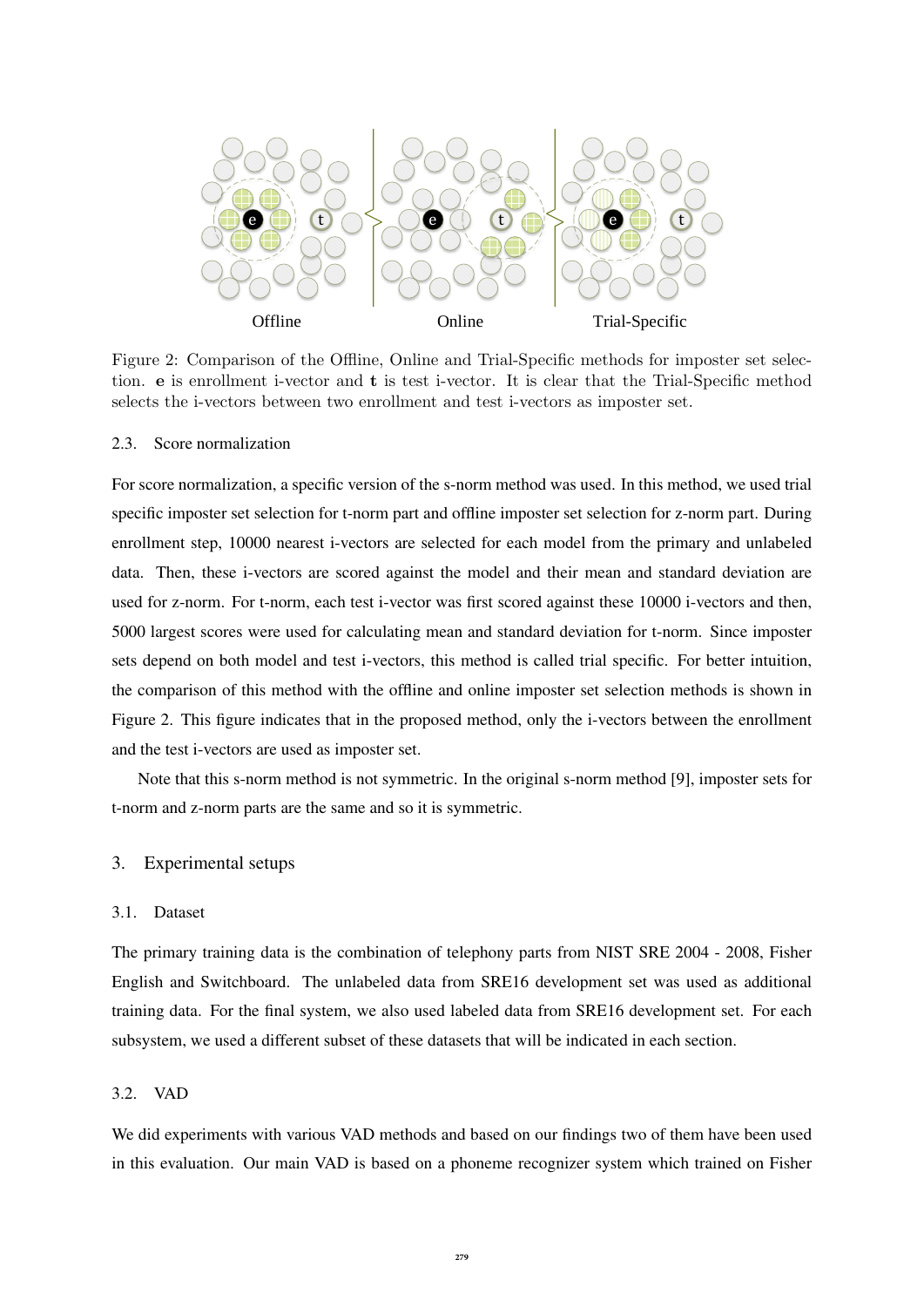

Figure 2: Comparison of the Offline, Online and Trial-Specific methods for imposter set selection. e is enrollment i-vector and t is test i-vector. It is clear that the Trial-Specific method selects the i-vectors between two enrollment and test i-vectors as imposter set.

## 2.3. Score normalization

For score normalization, a specific version of the s-norm method was used. In this method, we used trial specific imposter set selection for t-norm part and offline imposter set selection for z-norm part. During enrollment step, 10000 nearest i-vectors are selected for each model from the primary and unlabeled data. Then, these i-vectors are scored against the model and their mean and standard deviation are used for z-norm. For t-norm, each test i-vector was first scored against these 10000 i-vectors and then, 5000 largest scores were used for calculating mean and standard deviation for t-norm. Since imposter sets depend on both model and test i-vectors, this method is called trial specific. For better intuition, the comparison of this method with the offline and online imposter set selection methods is shown in Figure 2. This figure indicates that in the proposed method, only the i-vectors between the enrollment and the test i-vectors are used as imposter set.

Note that this s-norm method is not symmetric. In the original s-norm method [9], imposter sets for t-norm and z-norm parts are the same and so it is symmetric.

## 3. Experimental setups

## 3.1. Dataset

The primary training data is the combination of telephony parts from NIST SRE 2004 - 2008, Fisher English and Switchboard. The unlabeled data from SRE16 development set was used as additional training data. For the final system, we also used labeled data from SRE16 development set. For each subsystem, we used a different subset of these datasets that will be indicated in each section.

## 3.2. VAD

We did experiments with various VAD methods and based on our findings two of them have been used in this evaluation. Our main VAD is based on a phoneme recognizer system which trained on Fisher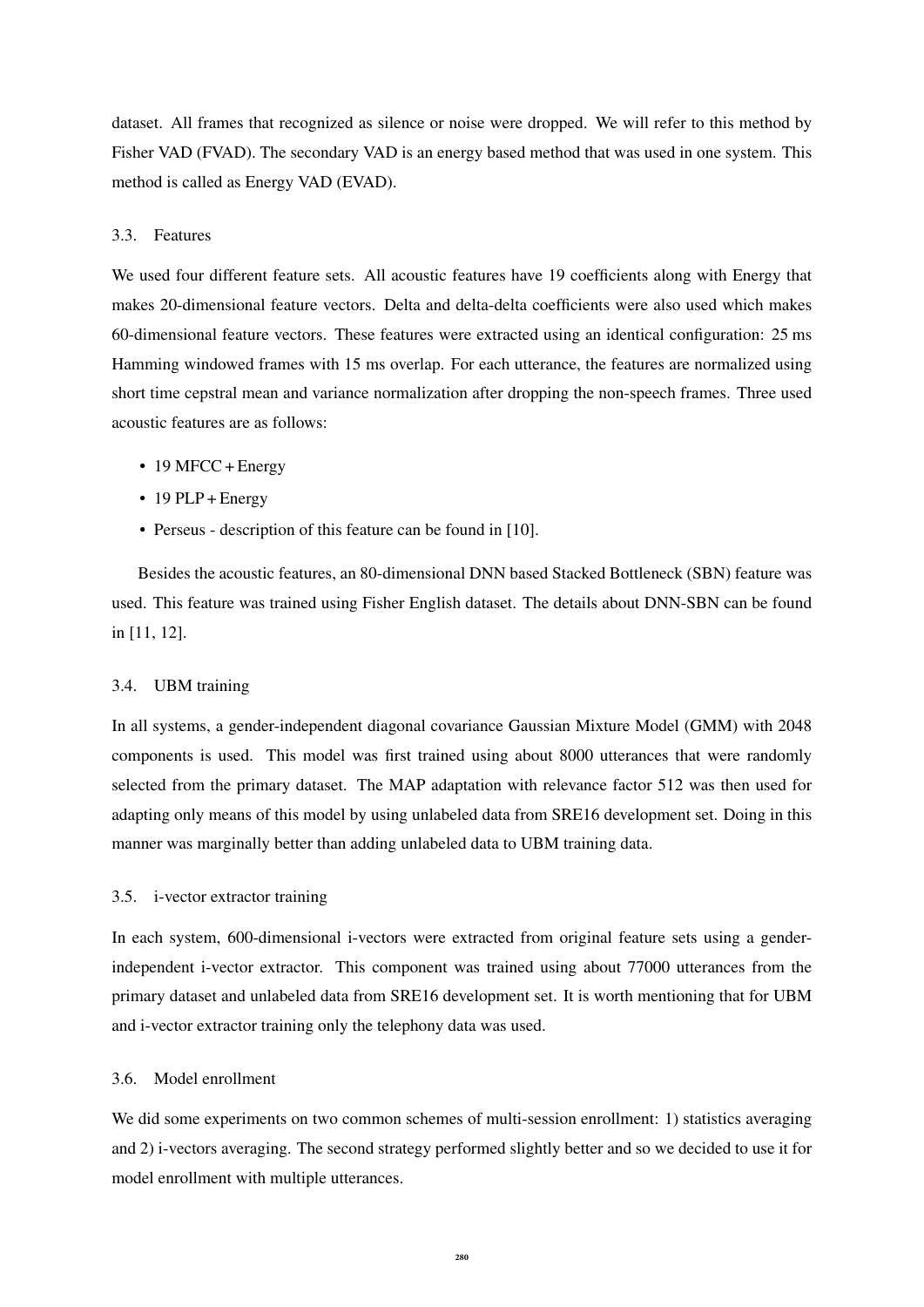dataset. All frames that recognized as silence or noise were dropped. We will refer to this method by Fisher VAD (FVAD). The secondary VAD is an energy based method that was used in one system. This method is called as Energy VAD (EVAD).

# 3.3. Features

We used four different feature sets. All acoustic features have 19 coefficients along with Energy that makes 20-dimensional feature vectors. Delta and delta-delta coefficients were also used which makes 60-dimensional feature vectors. These features were extracted using an identical configuration: 25 ms Hamming windowed frames with 15 ms overlap. For each utterance, the features are normalized using short time cepstral mean and variance normalization after dropping the non-speech frames. Three used acoustic features are as follows:

- 19 MFCC + Energy
- $\cdot$  19 PLP + Energy
- Perseus description of this feature can be found in [10].

Besides the acoustic features, an 80-dimensional DNN based Stacked Bottleneck (SBN) feature was used. This feature was trained using Fisher English dataset. The details about DNN-SBN can be found in [11, 12].

## 3.4. UBM training

In all systems, a gender-independent diagonal covariance Gaussian Mixture Model (GMM) with 2048 components is used. This model was first trained using about 8000 utterances that were randomly selected from the primary dataset. The MAP adaptation with relevance factor 512 was then used for adapting only means of this model by using unlabeled data from SRE16 development set. Doing in this manner was marginally better than adding unlabeled data to UBM training data.

## 3.5. i-vector extractor training

In each system, 600-dimensional i-vectors were extracted from original feature sets using a genderindependent i-vector extractor. This component was trained using about 77000 utterances from the primary dataset and unlabeled data from SRE16 development set. It is worth mentioning that for UBM and i-vector extractor training only the telephony data was used.

## 3.6. Model enrollment

We did some experiments on two common schemes of multi-session enrollment: 1) statistics averaging and 2) i-vectors averaging. The second strategy performed slightly better and so we decided to use it for model enrollment with multiple utterances.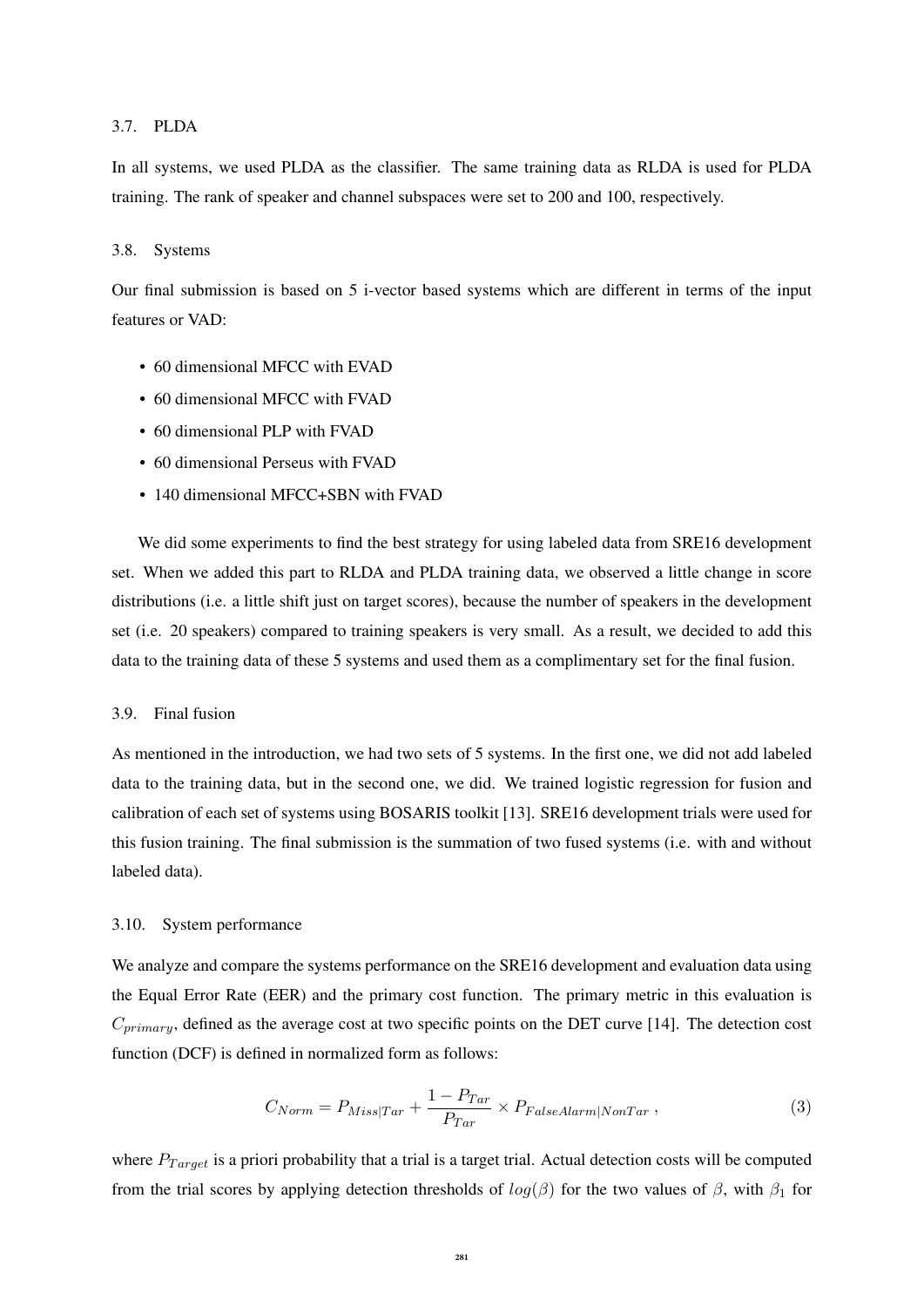## 3.7. PLDA

In all systems, we used PLDA as the classifier. The same training data as RLDA is used for PLDA training. The rank of speaker and channel subspaces were set to 200 and 100, respectively.

## 3.8. Systems

Our final submission is based on 5 i-vector based systems which are different in terms of the input features or VAD:

- 60 dimensional MFCC with EVAD
- 60 dimensional MFCC with FVAD
- 60 dimensional PLP with FVAD
- 60 dimensional Perseus with FVAD
- 140 dimensional MFCC+SBN with FVAD

We did some experiments to find the best strategy for using labeled data from SRE16 development set. When we added this part to RLDA and PLDA training data, we observed a little change in score distributions (i.e. a little shift just on target scores), because the number of speakers in the development set (i.e. 20 speakers) compared to training speakers is very small. As a result, we decided to add this data to the training data of these 5 systems and used them as a complimentary set for the final fusion.

## 3.9. Final fusion

As mentioned in the introduction, we had two sets of 5 systems. In the first one, we did not add labeled data to the training data, but in the second one, we did. We trained logistic regression for fusion and calibration of each set of systems using BOSARIS toolkit [13]. SRE16 development trials were used for this fusion training. The final submission is the summation of two fused systems (i.e. with and without labeled data).

## 3.10. System performance

We analyze and compare the systems performance on the SRE16 development and evaluation data using the Equal Error Rate (EER) and the primary cost function. The primary metric in this evaluation is  $C_{primary}$ , defined as the average cost at two specific points on the DET curve [14]. The detection cost function (DCF) is defined in normalized form as follows:

$$
C_{Norm} = P_{Miss|Tar} + \frac{1 - P_{Tar}}{P_{Tar}} \times P_{False Alarm|NonTar} \,, \tag{3}
$$

where  $P_{Target}$  is a priori probability that a trial is a target trial. Actual detection costs will be computed from the trial scores by applying detection thresholds of  $log(\beta)$  for the two values of  $\beta$ , with  $\beta_1$  for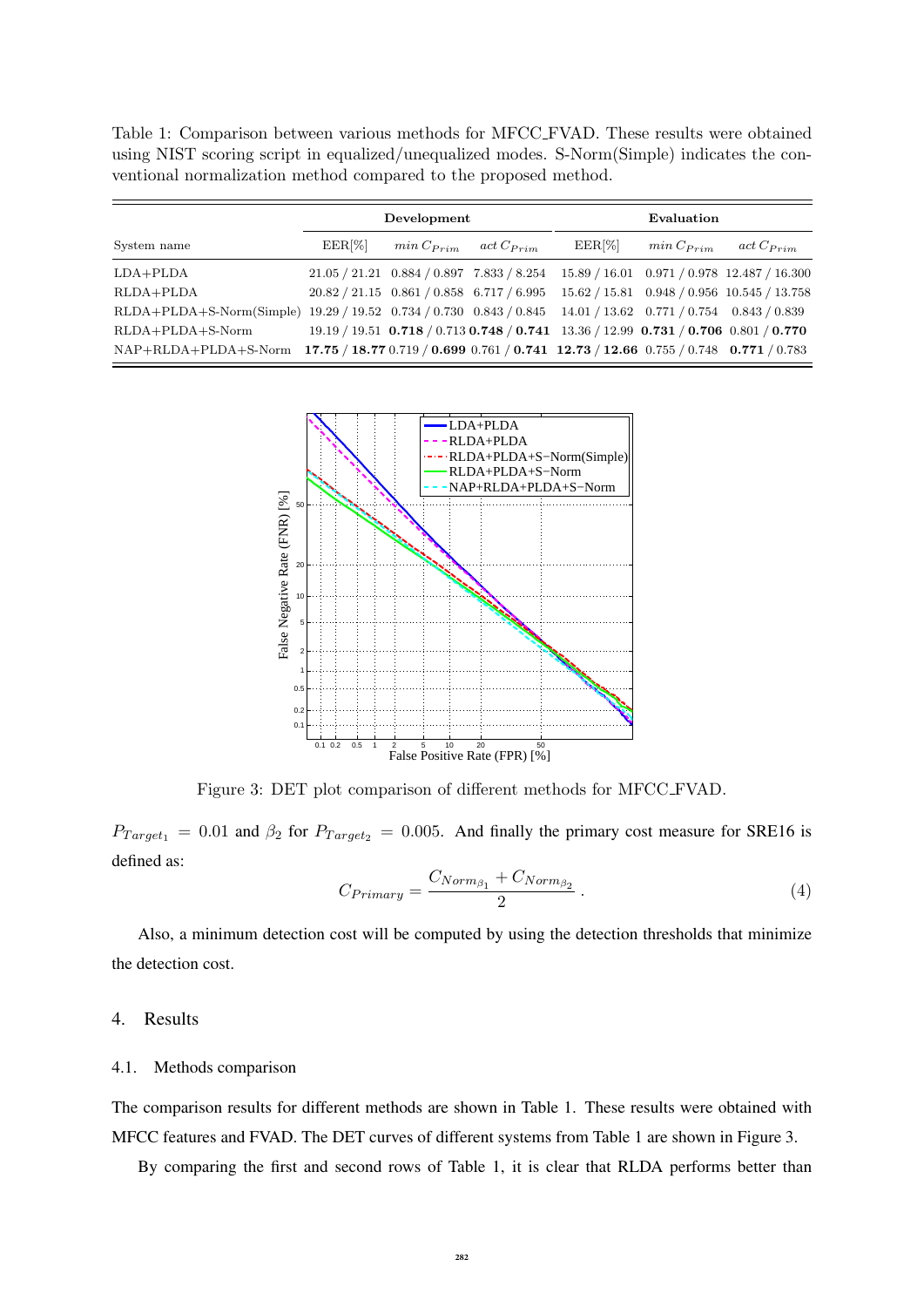Table 1: Comparison between various methods for MFCC FVAD. These results were obtained using NIST scoring script in equalized/unequalized modes. S-Norm(Simple) indicates the conventional normalization method compared to the proposed method.

|                                                                                                          | Development              |                               |  | Evaluation                                                                                      |                |                                                                                                   |
|----------------------------------------------------------------------------------------------------------|--------------------------|-------------------------------|--|-------------------------------------------------------------------------------------------------|----------------|---------------------------------------------------------------------------------------------------|
| System name                                                                                              | $\operatorname{EER}[\%]$ | $min C_{Prim}$ act $C_{Prim}$ |  | $EER[\%]$                                                                                       | $min C_{Prim}$ | $act$ $C_{Prim}$                                                                                  |
| $LDA+PLDA$                                                                                               |                          |                               |  |                                                                                                 |                | $21.05 / 21.21$ $0.884 / 0.897$ $7.833 / 8.254$ $15.89 / 16.01$ $0.971 / 0.978$ $12.487 / 16.300$ |
| $RLDA + PLDA$                                                                                            |                          |                               |  |                                                                                                 |                | $20.82 / 21.15$ $0.861 / 0.858$ $6.717 / 6.995$ $15.62 / 15.81$ $0.948 / 0.956$ $10.545 / 13.758$ |
| $RLDA + PLDA + S-Norm(Simple)$                                                                           |                          |                               |  | $19.29 / 19.52$ $0.734 / 0.730$ $0.843 / 0.845$ $14.01 / 13.62$ $0.771 / 0.754$ $0.843 / 0.839$ |                |                                                                                                   |
| $RLDA + PLDA + S-Norm$                                                                                   |                          |                               |  |                                                                                                 |                | $19.19 / 19.51$ 0.718 $/ 0.713$ 0.748 $/ 0.741$ 13.36 $/ 12.99$ 0.731 $/ 0.706$ 0.801 $/ 0.770$   |
| NAP+RLDA+PLDA+S-Norm 17.75 / 18.77 0.719 / 0.699 0.761 / 0.741 12.73 / 12.66 0.755 / 0.748 0.771 / 0.783 |                          |                               |  |                                                                                                 |                |                                                                                                   |



Figure 3: DET plot comparison of different methods for MFCC FVAD.

 $P_{Target_1} = 0.01$  and  $\beta_2$  for  $P_{Target_2} = 0.005$ . And finally the primary cost measure for SRE16 is defined as:

$$
C_{Primary} = \frac{C_{Norm_{\beta_1}} + C_{Norm_{\beta_2}}}{2} \,. \tag{4}
$$

Also, a minimum detection cost will be computed by using the detection thresholds that minimize the detection cost.

## 4. Results

## 4.1. Methods comparison

The comparison results for different methods are shown in Table 1. These results were obtained with MFCC features and FVAD. The DET curves of different systems from Table 1 are shown in Figure 3.

By comparing the first and second rows of Table 1, it is clear that RLDA performs better than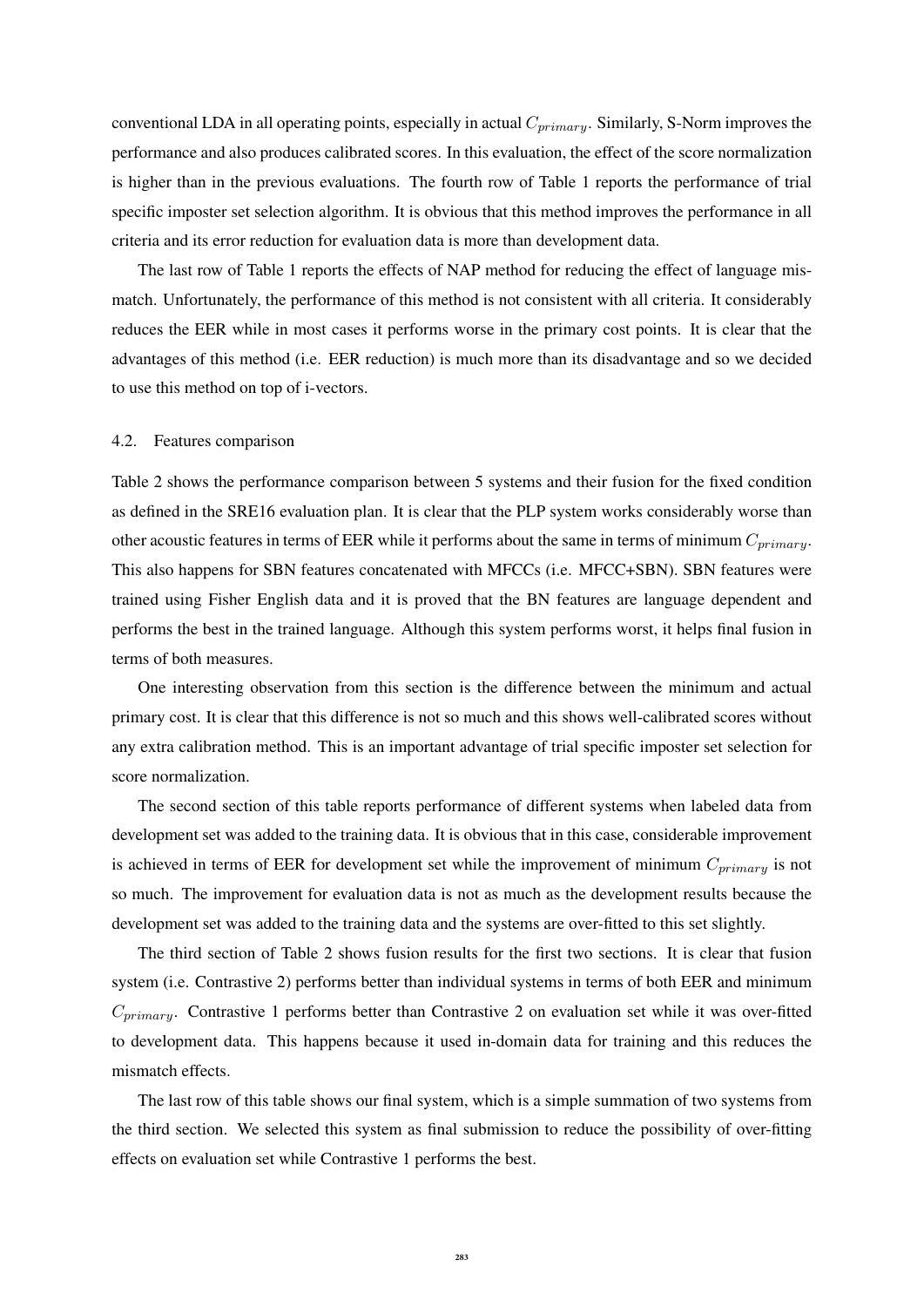conventional LDA in all operating points, especially in actual  $C_{primary}$ . Similarly, S-Norm improves the performance and also produces calibrated scores. In this evaluation, the effect of the score normalization is higher than in the previous evaluations. The fourth row of Table 1 reports the performance of trial specific imposter set selection algorithm. It is obvious that this method improves the performance in all criteria and its error reduction for evaluation data is more than development data.

The last row of Table 1 reports the effects of NAP method for reducing the effect of language mismatch. Unfortunately, the performance of this method is not consistent with all criteria. It considerably reduces the EER while in most cases it performs worse in the primary cost points. It is clear that the advantages of this method (i.e. EER reduction) is much more than its disadvantage and so we decided to use this method on top of i-vectors.

## 4.2. Features comparison

Table 2 shows the performance comparison between 5 systems and their fusion for the fixed condition as defined in the SRE16 evaluation plan. It is clear that the PLP system works considerably worse than other acoustic features in terms of EER while it performs about the same in terms of minimum  $C_{primary}$ . This also happens for SBN features concatenated with MFCCs (i.e. MFCC+SBN). SBN features were trained using Fisher English data and it is proved that the BN features are language dependent and performs the best in the trained language. Although this system performs worst, it helps final fusion in terms of both measures.

One interesting observation from this section is the difference between the minimum and actual primary cost. It is clear that this difference is not so much and this shows well-calibrated scores without any extra calibration method. This is an important advantage of trial specific imposter set selection for score normalization.

The second section of this table reports performance of different systems when labeled data from development set was added to the training data. It is obvious that in this case, considerable improvement is achieved in terms of EER for development set while the improvement of minimum  $C_{primary}$  is not so much. The improvement for evaluation data is not as much as the development results because the development set was added to the training data and the systems are over-fitted to this set slightly.

The third section of Table 2 shows fusion results for the first two sections. It is clear that fusion system (i.e. Contrastive 2) performs better than individual systems in terms of both EER and minimum  $C_{primary}$ . Contrastive 1 performs better than Contrastive 2 on evaluation set while it was over-fitted to development data. This happens because it used in-domain data for training and this reduces the mismatch effects.

The last row of this table shows our final system, which is a simple summation of two systems from the third section. We selected this system as final submission to reduce the possibility of over-fitting effects on evaluation set while Contrastive 1 performs the best.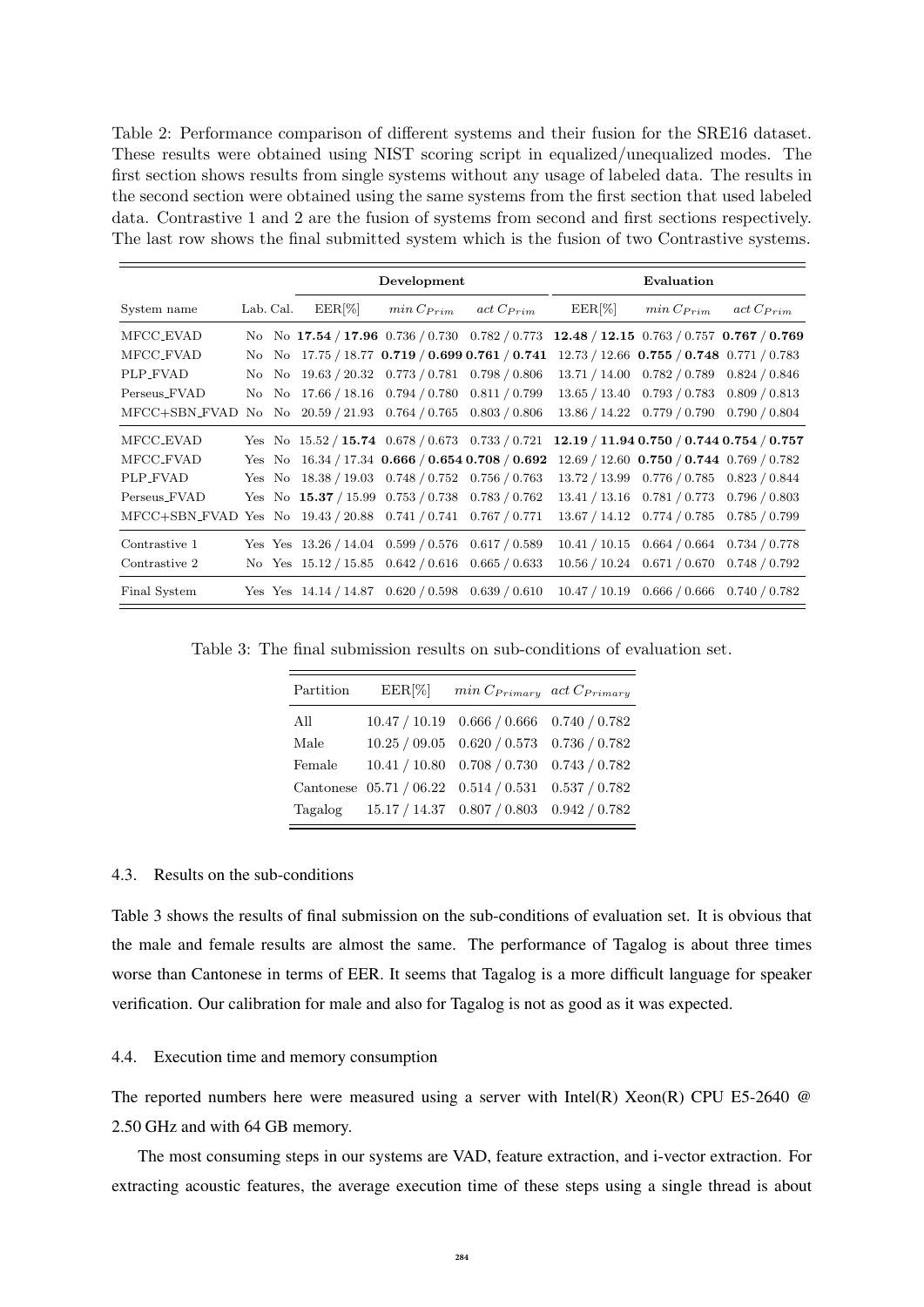Table 2: Performance comparison of different systems and their fusion for the SRE16 dataset. These results were obtained using NIST scoring script in equalized/unequalized modes. The first section shows results from single systems without any usage of labeled data. The results in the second section were obtained using the same systems from the first section that used labeled data. Contrastive 1 and 2 are the fusion of systems from second and first sections respectively. The last row shows the final submitted system which is the fusion of two Contrastive systems.

|                                                                |           | Development |                                                        | Evaluation                                                                                |           |                                                 |                  |
|----------------------------------------------------------------|-----------|-------------|--------------------------------------------------------|-------------------------------------------------------------------------------------------|-----------|-------------------------------------------------|------------------|
| System name                                                    | Lab. Cal. | $EER[\%]$   | $min C_{Prim}$                                         | $act$ $C_{Prim}$                                                                          | $EER[\%]$ | $min C_{Prim}$                                  | $act$ $C_{Prim}$ |
| MFCC_EVAD                                                      |           |             |                                                        | No No 17.54 / 17.96 0.736 / 0.730 0.782 / 0.773 12.48 / 12.15 0.763 / 0.757 0.767 / 0.769 |           |                                                 |                  |
| MFCC_FVAD                                                      |           |             |                                                        | No No $17.75 / 18.77$ 0.719 / 0.699 0.761 / 0.741                                         |           | $12.73 / 12.66$ 0.755 $/ 0.748$ 0.771 $/ 0.783$ |                  |
| PLP_FVAD                                                       |           |             | No No 19.63 / 20.32 0.773 / 0.781 0.798 / 0.806        |                                                                                           |           | 13.71 / 14.00  0.782 / 0.789  0.824 / 0.846     |                  |
| Perseus_FVAD                                                   |           |             | No No 17.66 / 18.16 0.794 / 0.780 0.811 / 0.799        |                                                                                           |           | $13.65 / 13.40$ 0.793 $/ 0.783$ 0.809 $/ 0.813$ |                  |
| MFCC+SBN_FVAD                                                  |           |             | No No $20.59 / 21.93$ 0.764 $/ 0.765$ 0.803 $/ 0.806$  |                                                                                           |           | 13.86 / 14.22  0.779 / 0.790  0.790 / 0.804     |                  |
| MFCC_EVAD                                                      |           |             | Yes No $15.52 / 15.74$ 0.678 / 0.673 0.733 / 0.721     |                                                                                           |           | $12.19 / 11.94 0.750 / 0.744 0.754 / 0.757$     |                  |
| MFCC_FVAD                                                      |           |             |                                                        | Yes No $16.34 / 17.34$ 0.666 / 0.654 0.708 / 0.692                                        |           | $12.69 / 12.60$ 0.750 $/$ 0.744 0.769 $/$ 0.782 |                  |
| PLP_FVAD                                                       |           |             | Yes No $18.38 / 19.03$ 0.748 $/ 0.752$ 0.756 $/ 0.763$ |                                                                                           |           | 13.72 / 13.99 0.776 / 0.785 0.823 / 0.844       |                  |
| Perseus_FVAD                                                   |           |             | Yes No $15.37 / 15.99$ 0.753 / 0.738 0.783 / 0.762     |                                                                                           |           | 13.41 / 13.16 0.781 / 0.773 0.796 / 0.803       |                  |
| MFCC+SBN_FVAD Yes No 19.43 / 20.88 0.741 / 0.741 0.767 / 0.771 |           |             |                                                        |                                                                                           |           | $13.67 / 14.12$ 0.774 / 0.785 0.785 / 0.799     |                  |
| Contrastive 1                                                  |           |             | Yes Yes $13.26 / 14.04$ 0.599 / 0.576 0.617 / 0.589    |                                                                                           |           | $10.41 / 10.15$ $0.664 / 0.664$ $0.734 / 0.778$ |                  |
| Contrastive 2                                                  |           |             | No Yes $15.12 / 15.85$ 0.642 / 0.616 0.665 / 0.633     |                                                                                           |           | $10.56 / 10.24$ $0.671 / 0.670$ $0.748 / 0.792$ |                  |
| Final System                                                   |           |             |                                                        | Yes Yes $14.14 / 14.87$ 0.620 / 0.598 0.639 / 0.610                                       |           | $10.47 / 10.19$ 0.666 / 0.666 0.740 / 0.782     |                  |

Table 3: The final submission results on sub-conditions of evaluation set.

| Partition | $EER[\%]$ | $min \, C_{Primary}$ act $C_{Primary}$              |  |
|-----------|-----------|-----------------------------------------------------|--|
| All       |           | $10.47 / 10.19$ 0.666 / 0.666 0.740 / 0.782         |  |
| Male      |           | $10.25 / 09.05$ $0.620 / 0.573$ $0.736 / 0.782$     |  |
| Female    |           | $10.41 / 10.80$ 0.708 $/ 0.730$ 0.743 $/ 0.782$     |  |
|           |           | Cantonese 05.71 / 06.22 0.514 / 0.531 0.537 / 0.782 |  |
|           |           | Tagalog 15.17 / 14.37 0.807 / 0.803 0.942 / 0.782   |  |

## 4.3. Results on the sub-conditions

Table 3 shows the results of final submission on the sub-conditions of evaluation set. It is obvious that the male and female results are almost the same. The performance of Tagalog is about three times worse than Cantonese in terms of EER. It seems that Tagalog is a more difficult language for speaker verification. Our calibration for male and also for Tagalog is not as good as it was expected.

#### 4.4. Execution time and memory consumption

The reported numbers here were measured using a server with Intel(R) Xeon(R) CPU E5-2640 @ 2.50 GHz and with 64 GB memory.

The most consuming steps in our systems are VAD, feature extraction, and i-vector extraction. For extracting acoustic features, the average execution time of these steps using a single thread is about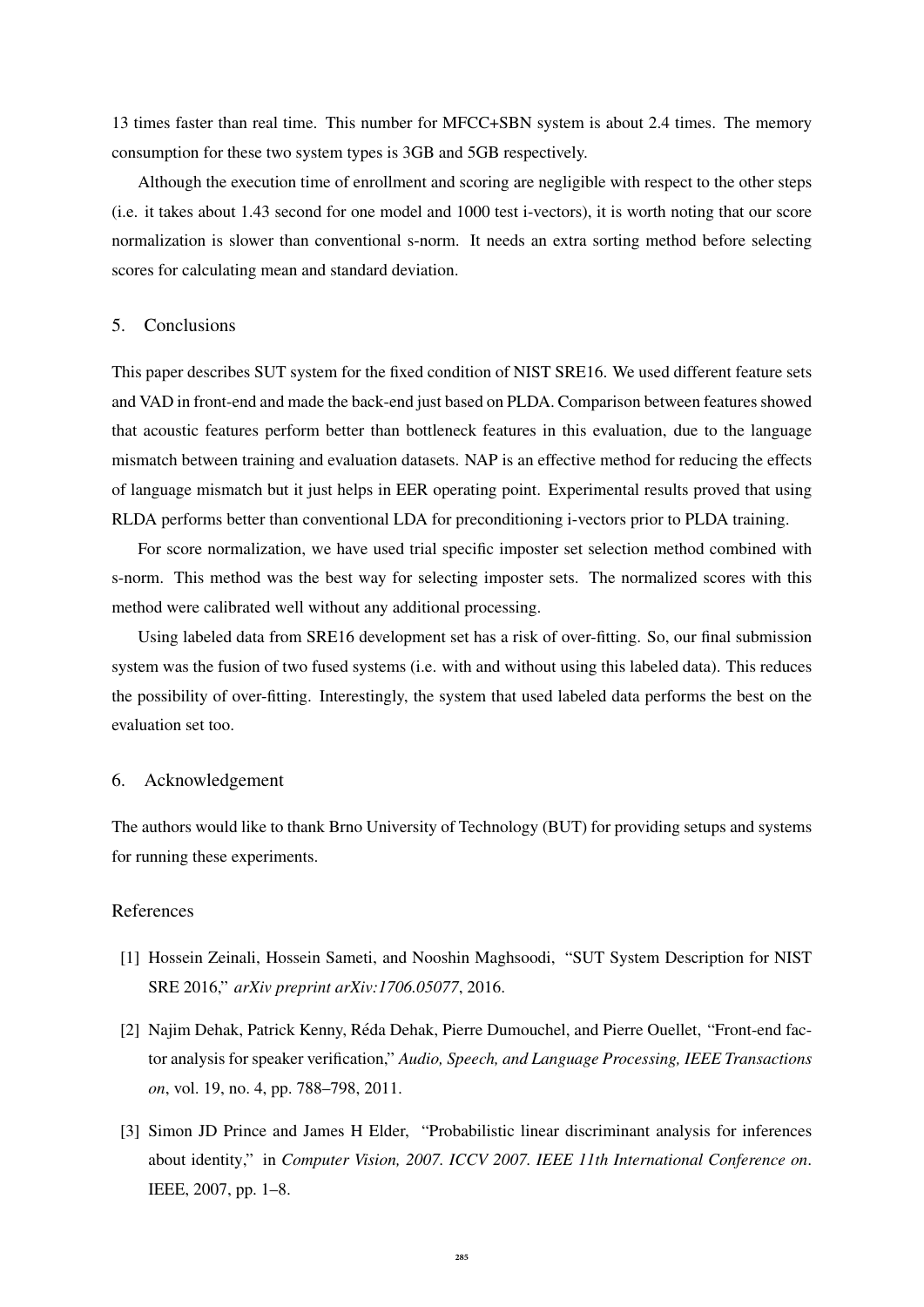13 times faster than real time. This number for MFCC+SBN system is about 2.4 times. The memory consumption for these two system types is 3GB and 5GB respectively.

Although the execution time of enrollment and scoring are negligible with respect to the other steps (i.e. it takes about 1.43 second for one model and 1000 test i-vectors), it is worth noting that our score normalization is slower than conventional s-norm. It needs an extra sorting method before selecting scores for calculating mean and standard deviation.

#### 5. Conclusions

This paper describes SUT system for the fixed condition of NIST SRE16. We used different feature sets and VAD in front-end and made the back-end just based on PLDA. Comparison between features showed that acoustic features perform better than bottleneck features in this evaluation, due to the language mismatch between training and evaluation datasets. NAP is an effective method for reducing the effects of language mismatch but it just helps in EER operating point. Experimental results proved that using RLDA performs better than conventional LDA for preconditioning i-vectors prior to PLDA training.

For score normalization, we have used trial specific imposter set selection method combined with s-norm. This method was the best way for selecting imposter sets. The normalized scores with this method were calibrated well without any additional processing.

Using labeled data from SRE16 development set has a risk of over-fitting. So, our final submission system was the fusion of two fused systems (i.e. with and without using this labeled data). This reduces the possibility of over-fitting. Interestingly, the system that used labeled data performs the best on the evaluation set too.

#### 6. Acknowledgement

The authors would like to thank Brno University of Technology (BUT) for providing setups and systems for running these experiments.

## References

- [1] Hossein Zeinali, Hossein Sameti, and Nooshin Maghsoodi, "SUT System Description for NIST SRE 2016," *arXiv preprint arXiv:1706.05077*, 2016.
- [2] Najim Dehak, Patrick Kenny, Réda Dehak, Pierre Dumouchel, and Pierre Ouellet, "Front-end factor analysis for speaker verification," *Audio, Speech, and Language Processing, IEEE Transactions on*, vol. 19, no. 4, pp. 788–798, 2011.
- [3] Simon JD Prince and James H Elder, "Probabilistic linear discriminant analysis for inferences about identity," in *Computer Vision, 2007. ICCV 2007. IEEE 11th International Conference on*. IEEE, 2007, pp. 1–8.